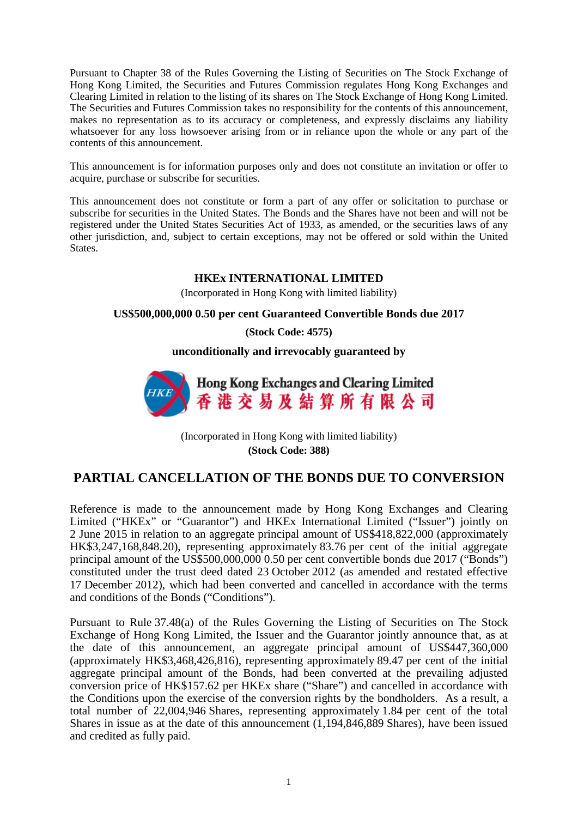Pursuant to Chapter 38 of the Rules Governing the Listing of Securities on The Stock Exchange of Hong Kong Limited, the Securities and Futures Commission regulates Hong Kong Exchanges and Clearing Limited in relation to the listing of its shares on The Stock Exchange of Hong Kong Limited. The Securities and Futures Commission takes no responsibility for the contents of this announcement, makes no representation as to its accuracy or completeness, and expressly disclaims any liability whatsoever for any loss howsoever arising from or in reliance upon the whole or any part of the contents of this announcement.

This announcement is for information purposes only and does not constitute an invitation or offer to acquire, purchase or subscribe for securities.

This announcement does not constitute or form a part of any offer or solicitation to purchase or subscribe for securities in the United States. The Bonds and the Shares have not been and will not be registered under the United States Securities Act of 1933, as amended, or the securities laws of any other jurisdiction, and, subject to certain exceptions, may not be offered or sold within the United States.

## **HKEx INTERNATIONAL LIMITED**

(Incorporated in Hong Kong with limited liability)

## **US\$500,000,000 0.50 per cent Guaranteed Convertible Bonds due 2017**

**(Stock Code: 4575)**

**unconditionally and irrevocably guaranteed by**



(Incorporated in Hong Kong with limited liability) **(Stock Code: 388)**

## **PARTIAL CANCELLATION OF THE BONDS DUE TO CONVERSION**

Reference is made to the announcement made by Hong Kong Exchanges and Clearing Limited ("HKEx" or "Guarantor") and HKEx International Limited ("Issuer") jointly on 2 June 2015 in relation to an aggregate principal amount of US\$418,822,000 (approximately HK\$3,247,168,848.20), representing approximately 83.76 per cent of the initial aggregate principal amount of the US\$500,000,000 0.50 per cent convertible bonds due 2017 ("Bonds") constituted under the trust deed dated 23 October 2012 (as amended and restated effective 17 December 2012), which had been converted and cancelled in accordance with the terms and conditions of the Bonds ("Conditions").

Pursuant to Rule 37.48(a) of the Rules Governing the Listing of Securities on The Stock Exchange of Hong Kong Limited, the Issuer and the Guarantor jointly announce that, as at the date of this announcement, an aggregate principal amount of US\$447,360,000 (approximately HK\$3,468,426,816), representing approximately 89.47 per cent of the initial aggregate principal amount of the Bonds, had been converted at the prevailing adjusted conversion price of HK\$157.62 per HKEx share ("Share") and cancelled in accordance with the Conditions upon the exercise of the conversion rights by the bondholders. As a result, a total number of 22,004,946 Shares, representing approximately 1.84 per cent of the total Shares in issue as at the date of this announcement (1,194,846,889 Shares), have been issued and credited as fully paid.